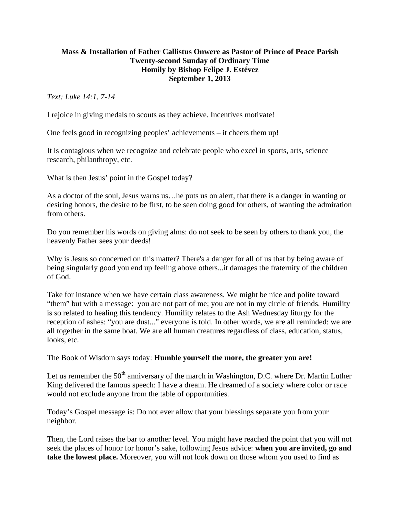## **Mass & Installation of Father Callistus Onwere as Pastor of Prince of Peace Parish Twenty-second Sunday of Ordinary Time Homily by Bishop Felipe J. Estévez September 1, 2013**

*Text: Luke 14:1, 7-14* 

I rejoice in giving medals to scouts as they achieve. Incentives motivate!

One feels good in recognizing peoples' achievements – it cheers them up!

It is contagious when we recognize and celebrate people who excel in sports, arts, science research, philanthropy, etc.

What is then Jesus' point in the Gospel today?

As a doctor of the soul, Jesus warns us…he puts us on alert, that there is a danger in wanting or desiring honors, the desire to be first, to be seen doing good for others, of wanting the admiration from others.

Do you remember his words on giving alms: do not seek to be seen by others to thank you, the heavenly Father sees your deeds!

Why is Jesus so concerned on this matter? There's a danger for all of us that by being aware of being singularly good you end up feeling above others...it damages the fraternity of the children of God.

Take for instance when we have certain class awareness. We might be nice and polite toward "them" but with a message: you are not part of me; you are not in my circle of friends. Humility is so related to healing this tendency. Humility relates to the Ash Wednesday liturgy for the reception of ashes: "you are dust..." everyone is told. In other words, we are all reminded: we are all together in the same boat. We are all human creatures regardless of class, education, status, looks, etc.

The Book of Wisdom says today: **Humble yourself the more, the greater you are!** 

Let us remember the  $50<sup>th</sup>$  anniversary of the march in Washington, D.C. where Dr. Martin Luther King delivered the famous speech: I have a dream. He dreamed of a society where color or race would not exclude anyone from the table of opportunities.

Today's Gospel message is: Do not ever allow that your blessings separate you from your neighbor.

Then, the Lord raises the bar to another level. You might have reached the point that you will not seek the places of honor for honor's sake, following Jesus advice: **when you are invited, go and take the lowest place.** Moreover, you will not look down on those whom you used to find as